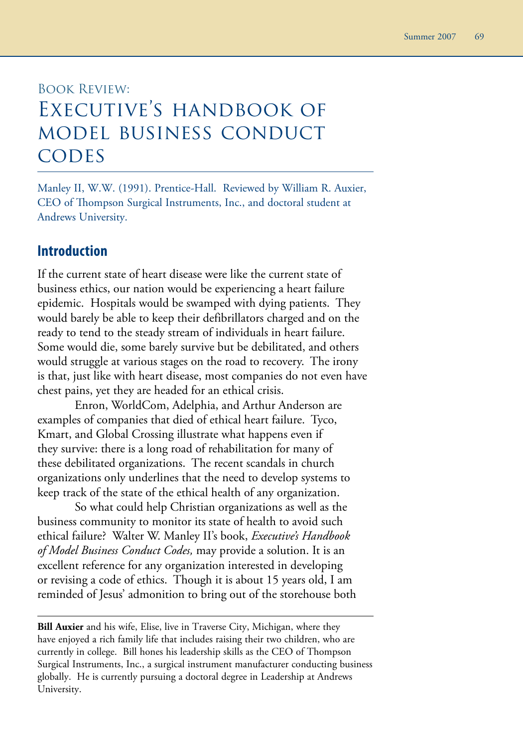# Book Review: Executive's handbook of model business conduct **CODES**

Manley II, W.W. (1991). Prentice-Hall. Reviewed by William R. Auxier, CEO of Thompson Surgical Instruments, Inc., and doctoral student at Andrews University.

#### **Introduction**

If the current state of heart disease were like the current state of business ethics, our nation would be experiencing a heart failure epidemic. Hospitals would be swamped with dying patients. They would barely be able to keep their defibrillators charged and on the ready to tend to the steady stream of individuals in heart failure. Some would die, some barely survive but be debilitated, and others would struggle at various stages on the road to recovery. The irony is that, just like with heart disease, most companies do not even have chest pains, yet they are headed for an ethical crisis.

Enron, WorldCom, Adelphia, and Arthur Anderson are examples of companies that died of ethical heart failure. Tyco, Kmart, and Global Crossing illustrate what happens even if they survive: there is a long road of rehabilitation for many of these debilitated organizations. The recent scandals in church organizations only underlines that the need to develop systems to keep track of the state of the ethical health of any organization.

So what could help Christian organizations as well as the business community to monitor its state of health to avoid such ethical failure? Walter W. Manley II's book, *Executive's Handbook of Model Business Conduct Codes,* may provide a solution. It is an excellent reference for any organization interested in developing or revising a code of ethics. Though it is about 15 years old, I am reminded of Jesus' admonition to bring out of the storehouse both

**Bill Auxier** and his wife, Elise, live in Traverse City, Michigan, where they have enjoyed a rich family life that includes raising their two children, who are currently in college. Bill hones his leadership skills as the CEO of Thompson Surgical Instruments, Inc., a surgical instrument manufacturer conducting business globally. He is currently pursuing a doctoral degree in Leadership at Andrews University.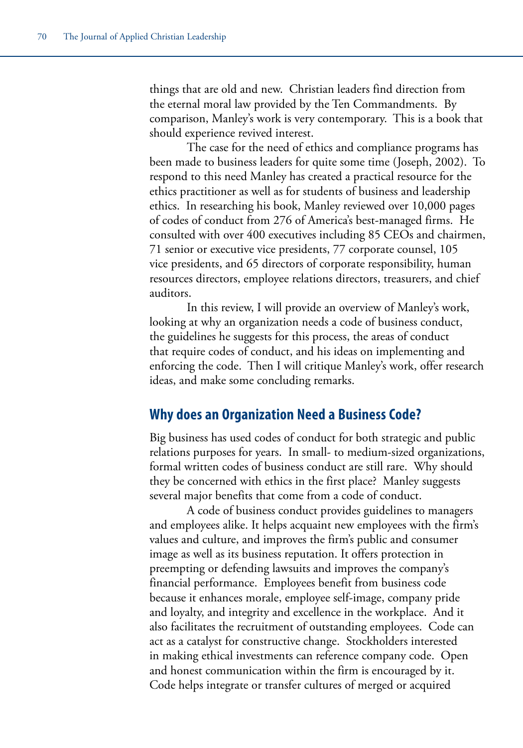things that are old and new. Christian leaders find direction from the eternal moral law provided by the Ten Commandments. By comparison, Manley's work is very contemporary. This is a book that should experience revived interest.

The case for the need of ethics and compliance programs has been made to business leaders for quite some time (Joseph, 2002). To respond to this need Manley has created a practical resource for the ethics practitioner as well as for students of business and leadership ethics. In researching his book, Manley reviewed over 10,000 pages of codes of conduct from 276 of America's best-managed firms. He consulted with over 400 executives including 85 CEOs and chairmen, 71 senior or executive vice presidents, 77 corporate counsel, 105 vice presidents, and 65 directors of corporate responsibility, human resources directors, employee relations directors, treasurers, and chief auditors.

In this review, I will provide an overview of Manley's work, looking at why an organization needs a code of business conduct, the guidelines he suggests for this process, the areas of conduct that require codes of conduct, and his ideas on implementing and enforcing the code. Then I will critique Manley's work, offer research ideas, and make some concluding remarks.

### **Why does an Organization Need a Business Code?**

Big business has used codes of conduct for both strategic and public relations purposes for years. In small- to medium-sized organizations, formal written codes of business conduct are still rare. Why should they be concerned with ethics in the first place? Manley suggests several major benefits that come from a code of conduct.

A code of business conduct provides guidelines to managers and employees alike. It helps acquaint new employees with the firm's values and culture, and improves the firm's public and consumer image as well as its business reputation. It offers protection in preempting or defending lawsuits and improves the company's financial performance. Employees benefit from business code because it enhances morale, employee self-image, company pride and loyalty, and integrity and excellence in the workplace. And it also facilitates the recruitment of outstanding employees. Code can act as a catalyst for constructive change. Stockholders interested in making ethical investments can reference company code. Open and honest communication within the firm is encouraged by it. Code helps integrate or transfer cultures of merged or acquired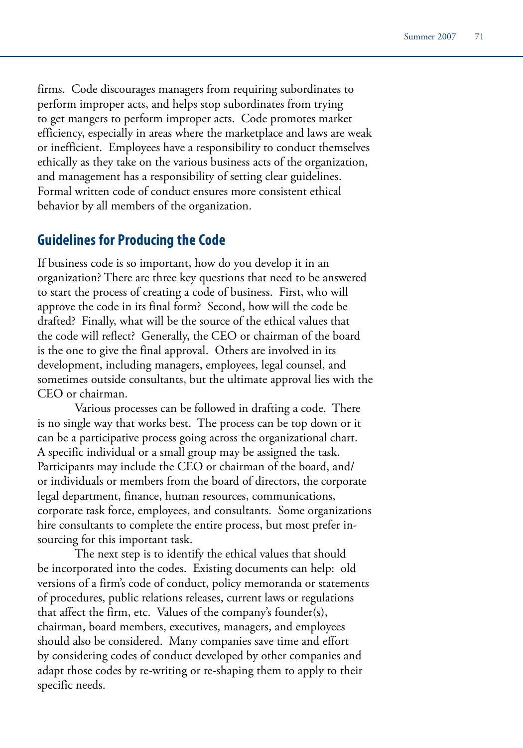firms. Code discourages managers from requiring subordinates to perform improper acts, and helps stop subordinates from trying to get mangers to perform improper acts. Code promotes market efficiency, especially in areas where the marketplace and laws are weak or inefficient. Employees have a responsibility to conduct themselves ethically as they take on the various business acts of the organization, and management has a responsibility of setting clear guidelines. Formal written code of conduct ensures more consistent ethical behavior by all members of the organization.

#### **Guidelines for Producing the Code**

If business code is so important, how do you develop it in an organization? There are three key questions that need to be answered to start the process of creating a code of business. First, who will approve the code in its final form? Second, how will the code be drafted? Finally, what will be the source of the ethical values that the code will reflect? Generally, the CEO or chairman of the board is the one to give the final approval. Others are involved in its development, including managers, employees, legal counsel, and sometimes outside consultants, but the ultimate approval lies with the CEO or chairman.

Various processes can be followed in drafting a code. There is no single way that works best. The process can be top down or it can be a participative process going across the organizational chart. A specific individual or a small group may be assigned the task. Participants may include the CEO or chairman of the board, and/ or individuals or members from the board of directors, the corporate legal department, finance, human resources, communications, corporate task force, employees, and consultants. Some organizations hire consultants to complete the entire process, but most prefer insourcing for this important task.

The next step is to identify the ethical values that should be incorporated into the codes. Existing documents can help: old versions of a firm's code of conduct, policy memoranda or statements of procedures, public relations releases, current laws or regulations that affect the firm, etc. Values of the company's founder(s), chairman, board members, executives, managers, and employees should also be considered. Many companies save time and effort by considering codes of conduct developed by other companies and adapt those codes by re-writing or re-shaping them to apply to their specific needs.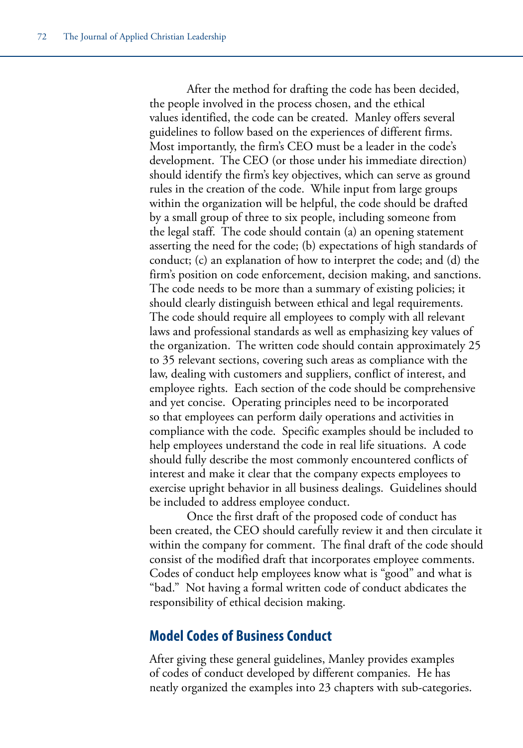After the method for drafting the code has been decided, the people involved in the process chosen, and the ethical values identified, the code can be created. Manley offers several guidelines to follow based on the experiences of different firms. Most importantly, the firm's CEO must be a leader in the code's development. The CEO (or those under his immediate direction) should identify the firm's key objectives, which can serve as ground rules in the creation of the code. While input from large groups within the organization will be helpful, the code should be drafted by a small group of three to six people, including someone from the legal staff. The code should contain (a) an opening statement asserting the need for the code; (b) expectations of high standards of conduct; (c) an explanation of how to interpret the code; and (d) the firm's position on code enforcement, decision making, and sanctions. The code needs to be more than a summary of existing policies; it should clearly distinguish between ethical and legal requirements. The code should require all employees to comply with all relevant laws and professional standards as well as emphasizing key values of the organization. The written code should contain approximately 25 to 35 relevant sections, covering such areas as compliance with the law, dealing with customers and suppliers, conflict of interest, and employee rights. Each section of the code should be comprehensive and yet concise. Operating principles need to be incorporated so that employees can perform daily operations and activities in compliance with the code. Specific examples should be included to help employees understand the code in real life situations. A code should fully describe the most commonly encountered conflicts of interest and make it clear that the company expects employees to exercise upright behavior in all business dealings. Guidelines should be included to address employee conduct.

Once the first draft of the proposed code of conduct has been created, the CEO should carefully review it and then circulate it within the company for comment. The final draft of the code should consist of the modified draft that incorporates employee comments. Codes of conduct help employees know what is "good" and what is "bad." Not having a formal written code of conduct abdicates the responsibility of ethical decision making.

#### **Model Codes of Business Conduct**

After giving these general guidelines, Manley provides examples of codes of conduct developed by different companies. He has neatly organized the examples into 23 chapters with sub-categories.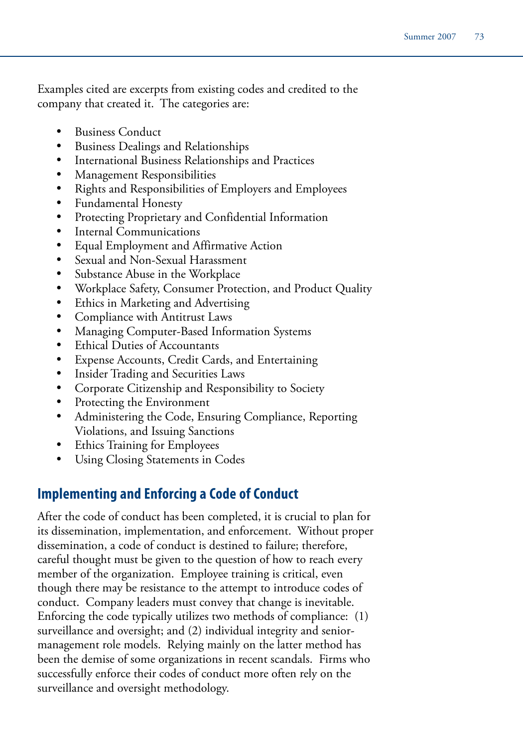Examples cited are excerpts from existing codes and credited to the company that created it. The categories are:

- **Business Conduct**
- • Business Dealings and Relationships
- International Business Relationships and Practices
- **Management Responsibilities**
- Rights and Responsibilities of Employers and Employees
- • Fundamental Honesty
- • Protecting Proprietary and Confidential Information
- **Internal Communications**
- Equal Employment and Affirmative Action
- • Sexual and Non-Sexual Harassment
- Substance Abuse in the Workplace
- Workplace Safety, Consumer Protection, and Product Quality
- Ethics in Marketing and Advertising
- • Compliance with Antitrust Laws
- Managing Computer-Based Information Systems
- • Ethical Duties of Accountants
- Expense Accounts, Credit Cards, and Entertaining
- Insider Trading and Securities Laws
- • Corporate Citizenship and Responsibility to Society
- Protecting the Environment
- Administering the Code, Ensuring Compliance, Reporting Violations, and Issuing Sanctions
- • Ethics Training for Employees
- Using Closing Statements in Codes

## **Implementing and Enforcing a Code of Conduct**

After the code of conduct has been completed, it is crucial to plan for its dissemination, implementation, and enforcement. Without proper dissemination, a code of conduct is destined to failure; therefore, careful thought must be given to the question of how to reach every member of the organization. Employee training is critical, even though there may be resistance to the attempt to introduce codes of conduct. Company leaders must convey that change is inevitable. Enforcing the code typically utilizes two methods of compliance: (1) surveillance and oversight; and (2) individual integrity and seniormanagement role models. Relying mainly on the latter method has been the demise of some organizations in recent scandals. Firms who successfully enforce their codes of conduct more often rely on the surveillance and oversight methodology.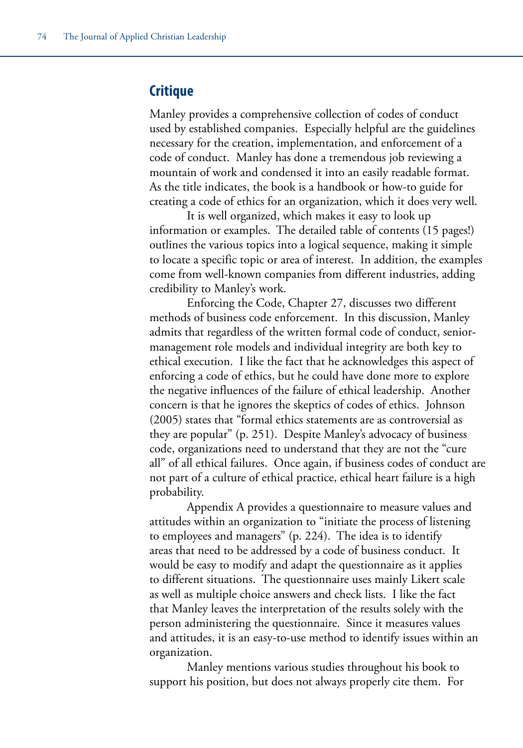#### **Critique**

Manley provides a comprehensive collection of codes of conduct used by established companies. Especially helpful are the guidelines necessary for the creation, implementation, and enforcement of a code of conduct. Manley has done a tremendous job reviewing a mountain of work and condensed it into an easily readable format. As the title indicates, the book is a handbook or how-to guide for creating a code of ethics for an organization, which it does very well.

It is well organized, which makes it easy to look up information or examples. The detailed table of contents (15 pages!) outlines the various topics into a logical sequence, making it simple to locate a specific topic or area of interest. In addition, the examples come from well-known companies from different industries, adding credibility to Manley's work.

Enforcing the Code, Chapter 27, discusses two different methods of business code enforcement. In this discussion, Manley admits that regardless of the written formal code of conduct, seniormanagement role models and individual integrity are both key to ethical execution. I like the fact that he acknowledges this aspect of enforcing a code of ethics, but he could have done more to explore the negative influences of the failure of ethical leadership. Another concern is that he ignores the skeptics of codes of ethics. Johnson (2005) states that "formal ethics statements are as controversial as they are popular" (p. 251). Despite Manley's advocacy of business code, organizations need to understand that they are not the "cure all" of all ethical failures. Once again, if business codes of conduct are not part of a culture of ethical practice, ethical heart failure is a high probability.

Appendix A provides a questionnaire to measure values and attitudes within an organization to "initiate the process of listening to employees and managers" (p. 224). The idea is to identify areas that need to be addressed by a code of business conduct. It would be easy to modify and adapt the questionnaire as it applies to different situations. The questionnaire uses mainly Likert scale as well as multiple choice answers and check lists. I like the fact that Manley leaves the interpretation of the results solely with the person administering the questionnaire. Since it measures values and attitudes, it is an easy-to-use method to identify issues within an organization.

Manley mentions various studies throughout his book to support his position, but does not always properly cite them. For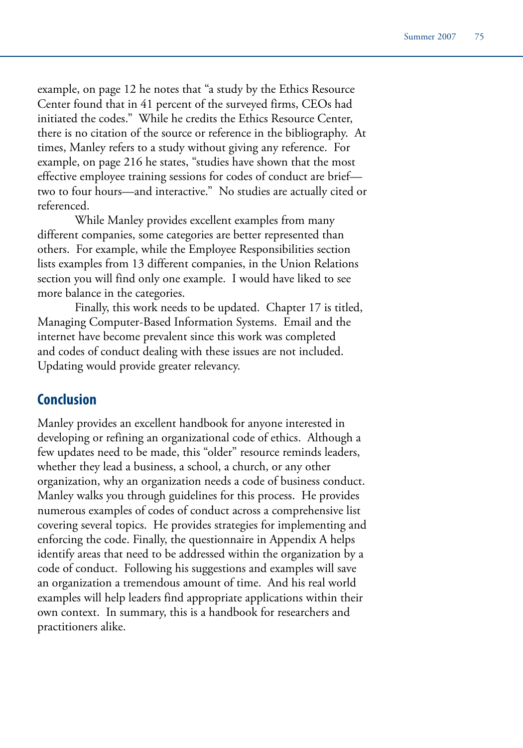example, on page 12 he notes that "a study by the Ethics Resource Center found that in 41 percent of the surveyed firms, CEOs had initiated the codes." While he credits the Ethics Resource Center, there is no citation of the source or reference in the bibliography. At times, Manley refers to a study without giving any reference. For example, on page 216 he states, "studies have shown that the most effective employee training sessions for codes of conduct are brief two to four hours—and interactive." No studies are actually cited or referenced.

While Manley provides excellent examples from many different companies, some categories are better represented than others. For example, while the Employee Responsibilities section lists examples from 13 different companies, in the Union Relations section you will find only one example. I would have liked to see more balance in the categories.

Finally, this work needs to be updated. Chapter 17 is titled, Managing Computer-Based Information Systems. Email and the internet have become prevalent since this work was completed and codes of conduct dealing with these issues are not included. Updating would provide greater relevancy.

#### **Conclusion**

Manley provides an excellent handbook for anyone interested in developing or refining an organizational code of ethics. Although a few updates need to be made, this "older" resource reminds leaders, whether they lead a business, a school, a church, or any other organization, why an organization needs a code of business conduct. Manley walks you through guidelines for this process. He provides numerous examples of codes of conduct across a comprehensive list covering several topics. He provides strategies for implementing and enforcing the code. Finally, the questionnaire in Appendix A helps identify areas that need to be addressed within the organization by a code of conduct. Following his suggestions and examples will save an organization a tremendous amount of time. And his real world examples will help leaders find appropriate applications within their own context. In summary, this is a handbook for researchers and practitioners alike.